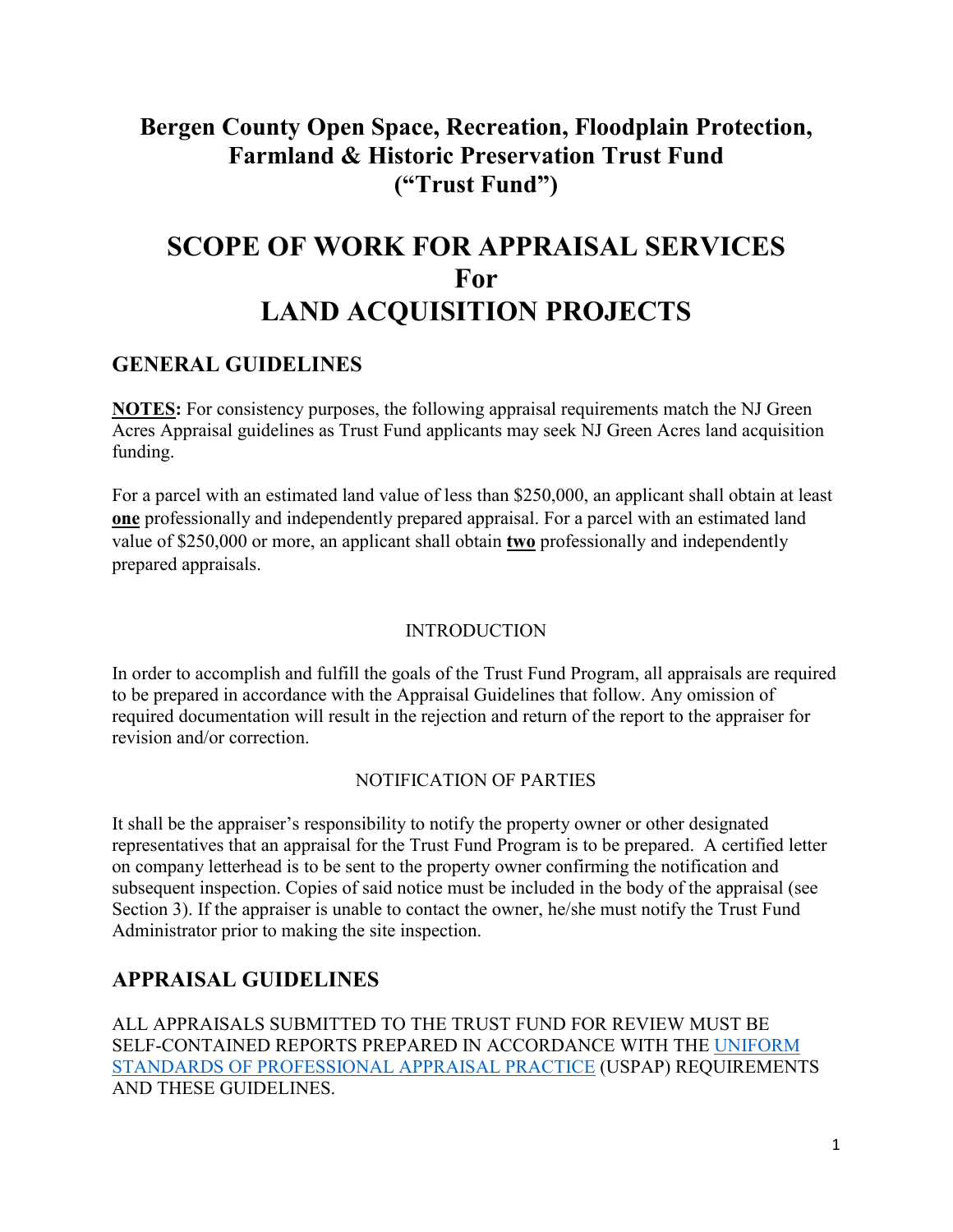# **Bergen County Open Space, Recreation, Floodplain Protection, Farmland & Historic Preservation Trust Fund ("Trust Fund")**

# **SCOPE OF WORK FOR APPRAISAL SERVICES For LAND ACQUISITION PROJECTS**

# **GENERAL GUIDELINES**

**NOTES:** For consistency purposes, the following appraisal requirements match the NJ Green Acres Appraisal guidelines as Trust Fund applicants may seek NJ Green Acres land acquisition funding.

For a parcel with an estimated land value of less than \$250,000, an applicant shall obtain at least **one** professionally and independently prepared appraisal. For a parcel with an estimated land value of \$250,000 or more, an applicant shall obtain **two** professionally and independently prepared appraisals.

## INTRODUCTION

In order to accomplish and fulfill the goals of the Trust Fund Program, all appraisals are required to be prepared in accordance with the Appraisal Guidelines that follow. Any omission of required documentation will result in the rejection and return of the report to the appraiser for revision and/or correction.

## NOTIFICATION OF PARTIES

It shall be the appraiser's responsibility to notify the property owner or other designated representatives that an appraisal for the Trust Fund Program is to be prepared. A certified letter on company letterhead is to be sent to the property owner confirming the notification and subsequent inspection. Copies of said notice must be included in the body of the appraisal (see Section 3). If the appraiser is unable to contact the owner, he/she must notify the Trust Fund Administrator prior to making the site inspection.

# **APPRAISAL GUIDELINES**

ALL APPRAISALS SUBMITTED TO THE TRUST FUND FOR REVIEW MUST BE SELF-CONTAINED REPORTS PREPARED IN ACCORDANCE WITH THE [UNIFORM](http://www.appraisalfoundation.org/)  [STANDARDS OF PROFESSIONAL APPRAISAL PRACTICE](http://www.appraisalfoundation.org/) (USPAP) REQUIREMENTS AND THESE GUIDELINES.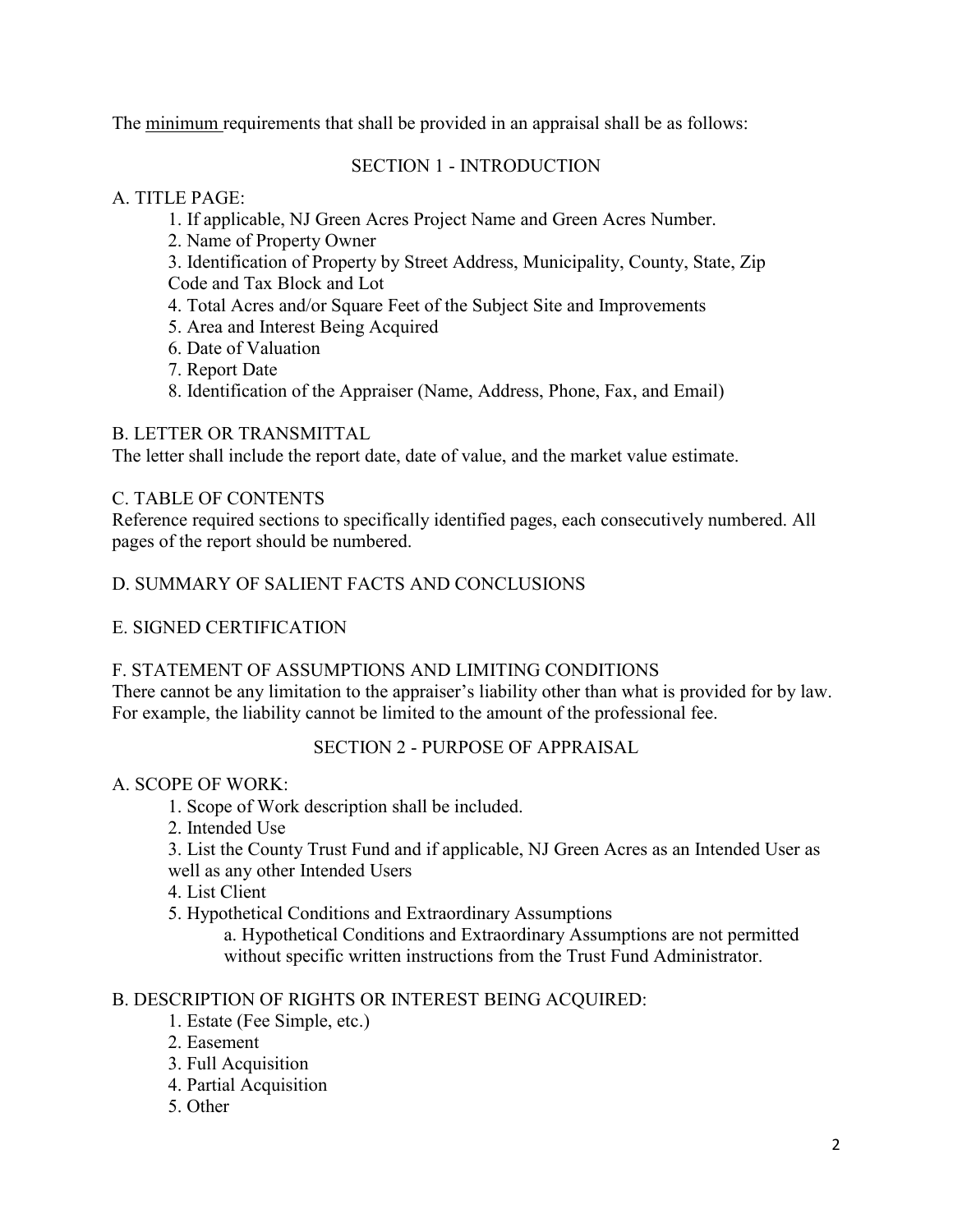The minimum requirements that shall be provided in an appraisal shall be as follows:

## SECTION 1 - INTRODUCTION

# A. TITLE PAGE:

- 1. If applicable, NJ Green Acres Project Name and Green Acres Number.
- 2. Name of Property Owner
- 3. Identification of Property by Street Address, Municipality, County, State, Zip
- Code and Tax Block and Lot
- 4. Total Acres and/or Square Feet of the Subject Site and Improvements
- 5. Area and Interest Being Acquired
- 6. Date of Valuation
- 7. Report Date
- 8. Identification of the Appraiser (Name, Address, Phone, Fax, and Email)

# B. LETTER OR TRANSMITTAL

The letter shall include the report date, date of value, and the market value estimate.

# C. TABLE OF CONTENTS

Reference required sections to specifically identified pages, each consecutively numbered. All pages of the report should be numbered.

# D. SUMMARY OF SALIENT FACTS AND CONCLUSIONS

# E. SIGNED CERTIFICATION

# F. STATEMENT OF ASSUMPTIONS AND LIMITING CONDITIONS

There cannot be any limitation to the appraiser's liability other than what is provided for by law. For example, the liability cannot be limited to the amount of the professional fee.

# SECTION 2 - PURPOSE OF APPRAISAL

# A. SCOPE OF WORK:

- 1. Scope of Work description shall be included.
- 2. Intended Use
- 3. List the County Trust Fund and if applicable, NJ Green Acres as an Intended User as well as any other Intended Users

4. List Client

5. Hypothetical Conditions and Extraordinary Assumptions

a. Hypothetical Conditions and Extraordinary Assumptions are not permitted without specific written instructions from the Trust Fund Administrator.

# B. DESCRIPTION OF RIGHTS OR INTEREST BEING ACQUIRED:

- 1. Estate (Fee Simple, etc.)
- 2. Easement
- 3. Full Acquisition
- 4. Partial Acquisition
- 5. Other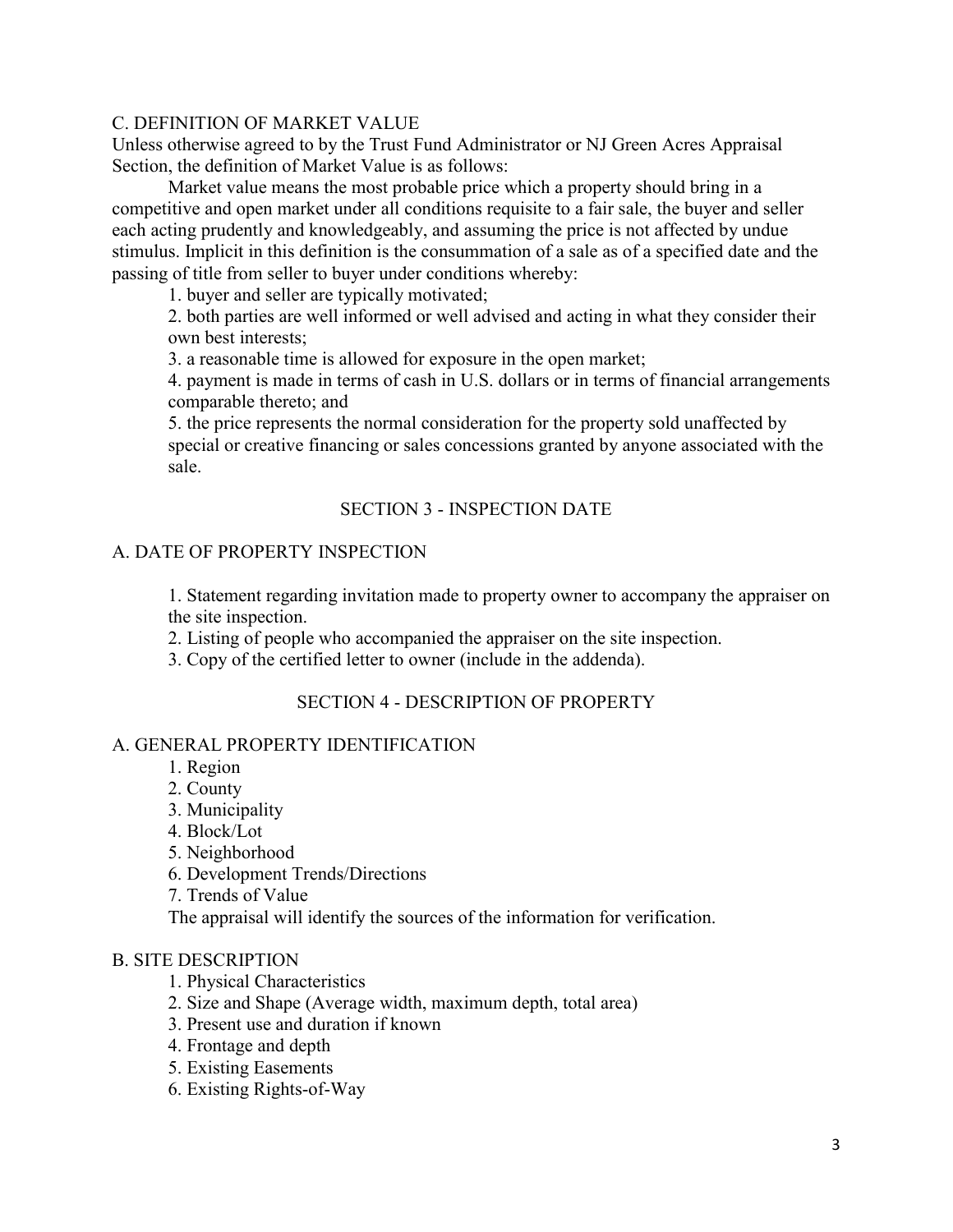## C. DEFINITION OF MARKET VALUE

Unless otherwise agreed to by the Trust Fund Administrator or NJ Green Acres Appraisal Section, the definition of Market Value is as follows:

Market value means the most probable price which a property should bring in a competitive and open market under all conditions requisite to a fair sale, the buyer and seller each acting prudently and knowledgeably, and assuming the price is not affected by undue stimulus. Implicit in this definition is the consummation of a sale as of a specified date and the passing of title from seller to buyer under conditions whereby:

1. buyer and seller are typically motivated;

2. both parties are well informed or well advised and acting in what they consider their own best interests;

3. a reasonable time is allowed for exposure in the open market;

4. payment is made in terms of cash in U.S. dollars or in terms of financial arrangements comparable thereto; and

5. the price represents the normal consideration for the property sold unaffected by special or creative financing or sales concessions granted by anyone associated with the sale.

## SECTION 3 - INSPECTION DATE

## A. DATE OF PROPERTY INSPECTION

1. Statement regarding invitation made to property owner to accompany the appraiser on the site inspection.

2. Listing of people who accompanied the appraiser on the site inspection.

3. Copy of the certified letter to owner (include in the addenda).

## SECTION 4 - DESCRIPTION OF PROPERTY

## A. GENERAL PROPERTY IDENTIFICATION

- 1. Region
- 2. County
- 3. Municipality
- 4. Block/Lot
- 5. Neighborhood
- 6. Development Trends/Directions
- 7. Trends of Value

The appraisal will identify the sources of the information for verification.

#### B. SITE DESCRIPTION

- 1. Physical Characteristics
- 2. Size and Shape (Average width, maximum depth, total area)
- 3. Present use and duration if known
- 4. Frontage and depth
- 5. Existing Easements
- 6. Existing Rights-of-Way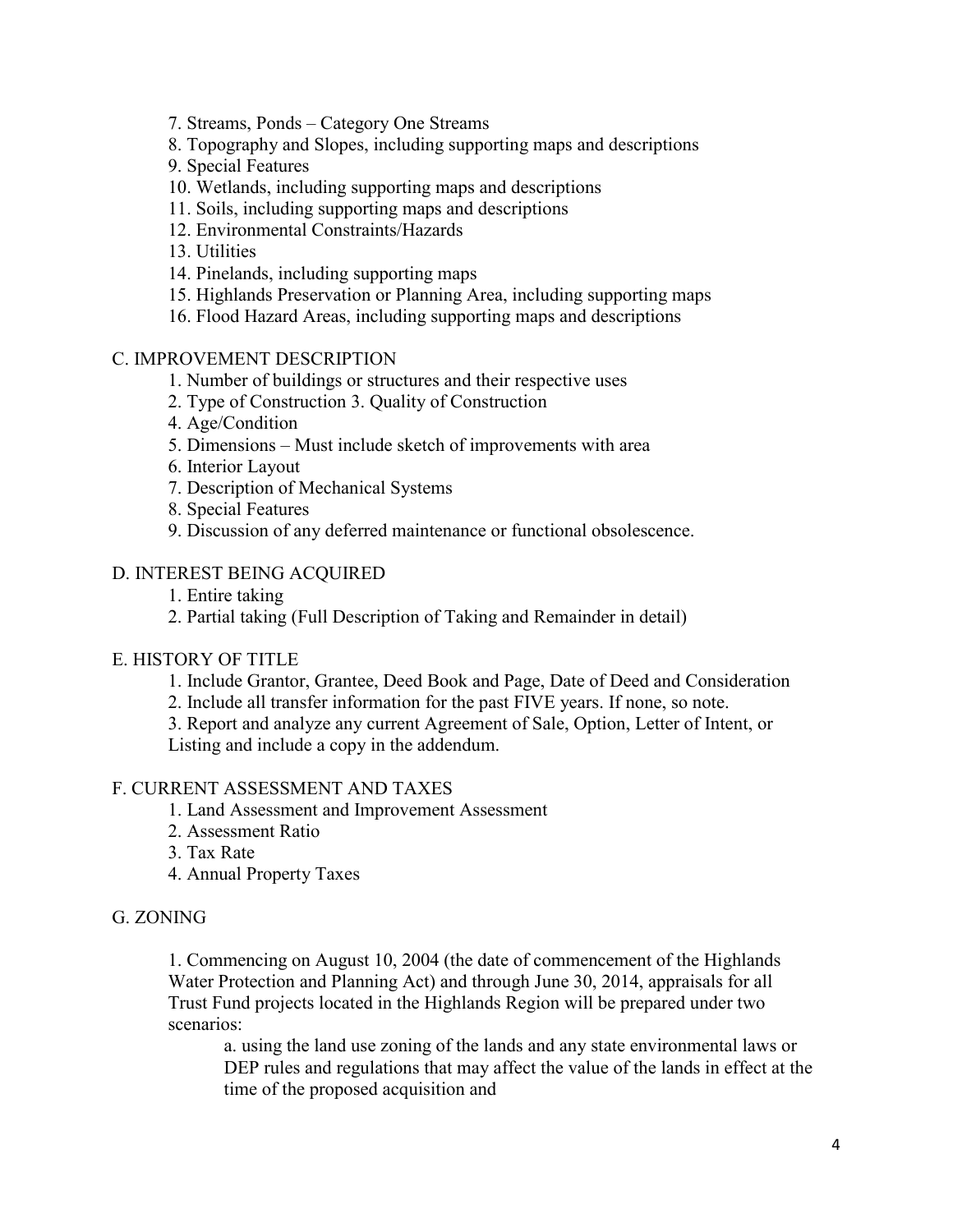- 7. Streams, Ponds Category One Streams
- 8. Topography and Slopes, including supporting maps and descriptions
- 9. Special Features
- 10. Wetlands, including supporting maps and descriptions
- 11. Soils, including supporting maps and descriptions
- 12. Environmental Constraints/Hazards
- 13. Utilities
- 14. Pinelands, including supporting maps
- 15. Highlands Preservation or Planning Area, including supporting maps
- 16. Flood Hazard Areas, including supporting maps and descriptions

#### C. IMPROVEMENT DESCRIPTION

- 1. Number of buildings or structures and their respective uses
- 2. Type of Construction 3. Quality of Construction
- 4. Age/Condition
- 5. Dimensions Must include sketch of improvements with area
- 6. Interior Layout
- 7. Description of Mechanical Systems
- 8. Special Features
- 9. Discussion of any deferred maintenance or functional obsolescence.

## D. INTEREST BEING ACQUIRED

- 1. Entire taking
- 2. Partial taking (Full Description of Taking and Remainder in detail)

#### E. HISTORY OF TITLE

- 1. Include Grantor, Grantee, Deed Book and Page, Date of Deed and Consideration
- 2. Include all transfer information for the past FIVE years. If none, so note.
- 3. Report and analyze any current Agreement of Sale, Option, Letter of Intent, or Listing and include a copy in the addendum.

#### F. CURRENT ASSESSMENT AND TAXES

- 1. Land Assessment and Improvement Assessment
- 2. Assessment Ratio
- 3. Tax Rate
- 4. Annual Property Taxes

#### G. ZONING

1. Commencing on August 10, 2004 (the date of commencement of the Highlands Water Protection and Planning Act) and through June 30, 2014, appraisals for all Trust Fund projects located in the Highlands Region will be prepared under two scenarios:

a. using the land use zoning of the lands and any state environmental laws or DEP rules and regulations that may affect the value of the lands in effect at the time of the proposed acquisition and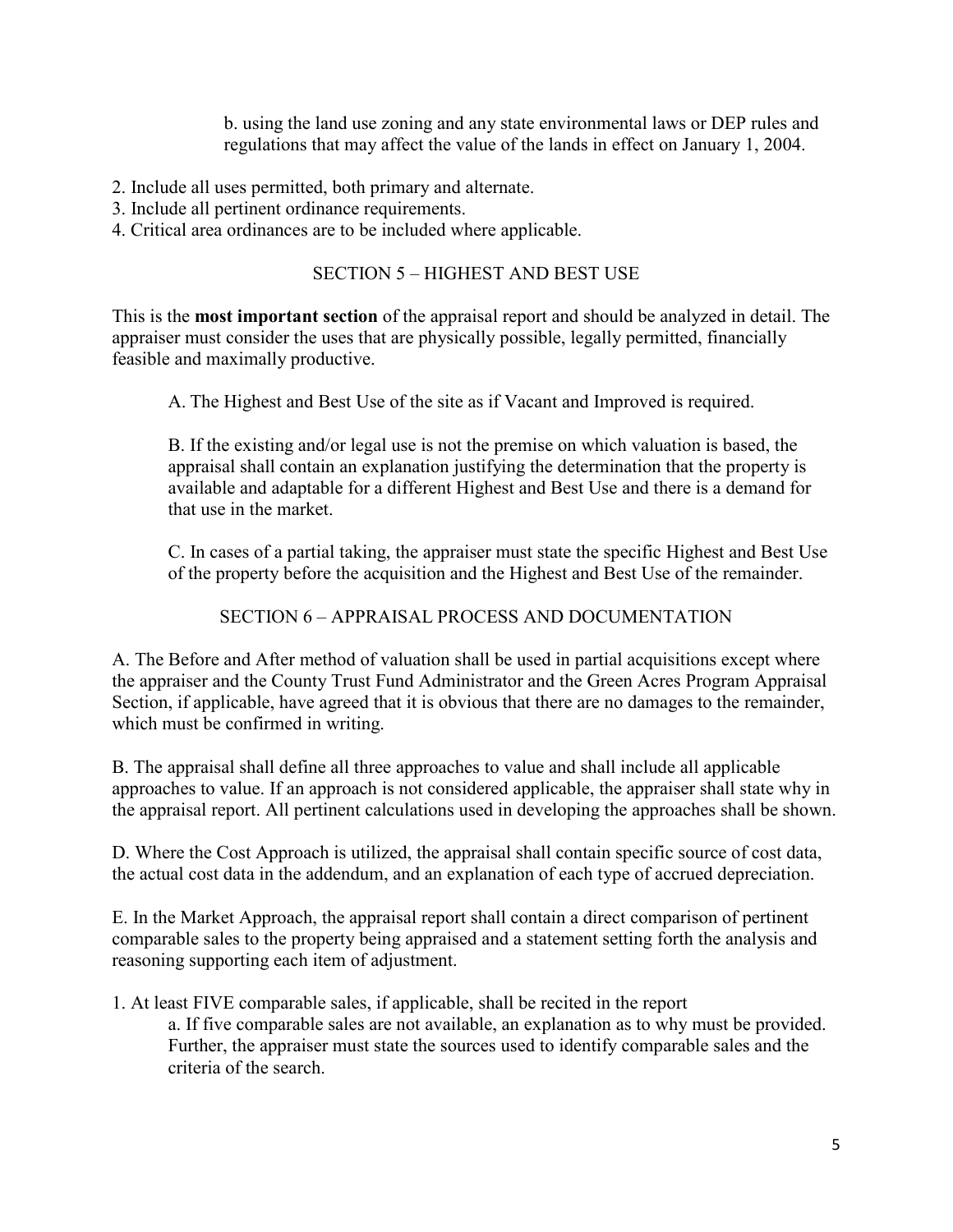b. using the land use zoning and any state environmental laws or DEP rules and regulations that may affect the value of the lands in effect on January 1, 2004.

- 2. Include all uses permitted, both primary and alternate.
- 3. Include all pertinent ordinance requirements.
- 4. Critical area ordinances are to be included where applicable.

## SECTION 5 – HIGHEST AND BEST USE

This is the **most important section** of the appraisal report and should be analyzed in detail. The appraiser must consider the uses that are physically possible, legally permitted, financially feasible and maximally productive.

A. The Highest and Best Use of the site as if Vacant and Improved is required.

B. If the existing and/or legal use is not the premise on which valuation is based, the appraisal shall contain an explanation justifying the determination that the property is available and adaptable for a different Highest and Best Use and there is a demand for that use in the market.

C. In cases of a partial taking, the appraiser must state the specific Highest and Best Use of the property before the acquisition and the Highest and Best Use of the remainder.

SECTION 6 – APPRAISAL PROCESS AND DOCUMENTATION

A. The Before and After method of valuation shall be used in partial acquisitions except where the appraiser and the County Trust Fund Administrator and the Green Acres Program Appraisal Section, if applicable, have agreed that it is obvious that there are no damages to the remainder, which must be confirmed in writing.

B. The appraisal shall define all three approaches to value and shall include all applicable approaches to value. If an approach is not considered applicable, the appraiser shall state why in the appraisal report. All pertinent calculations used in developing the approaches shall be shown.

D. Where the Cost Approach is utilized, the appraisal shall contain specific source of cost data, the actual cost data in the addendum, and an explanation of each type of accrued depreciation.

E. In the Market Approach, the appraisal report shall contain a direct comparison of pertinent comparable sales to the property being appraised and a statement setting forth the analysis and reasoning supporting each item of adjustment.

1. At least FIVE comparable sales, if applicable, shall be recited in the report a. If five comparable sales are not available, an explanation as to why must be provided. Further, the appraiser must state the sources used to identify comparable sales and the criteria of the search.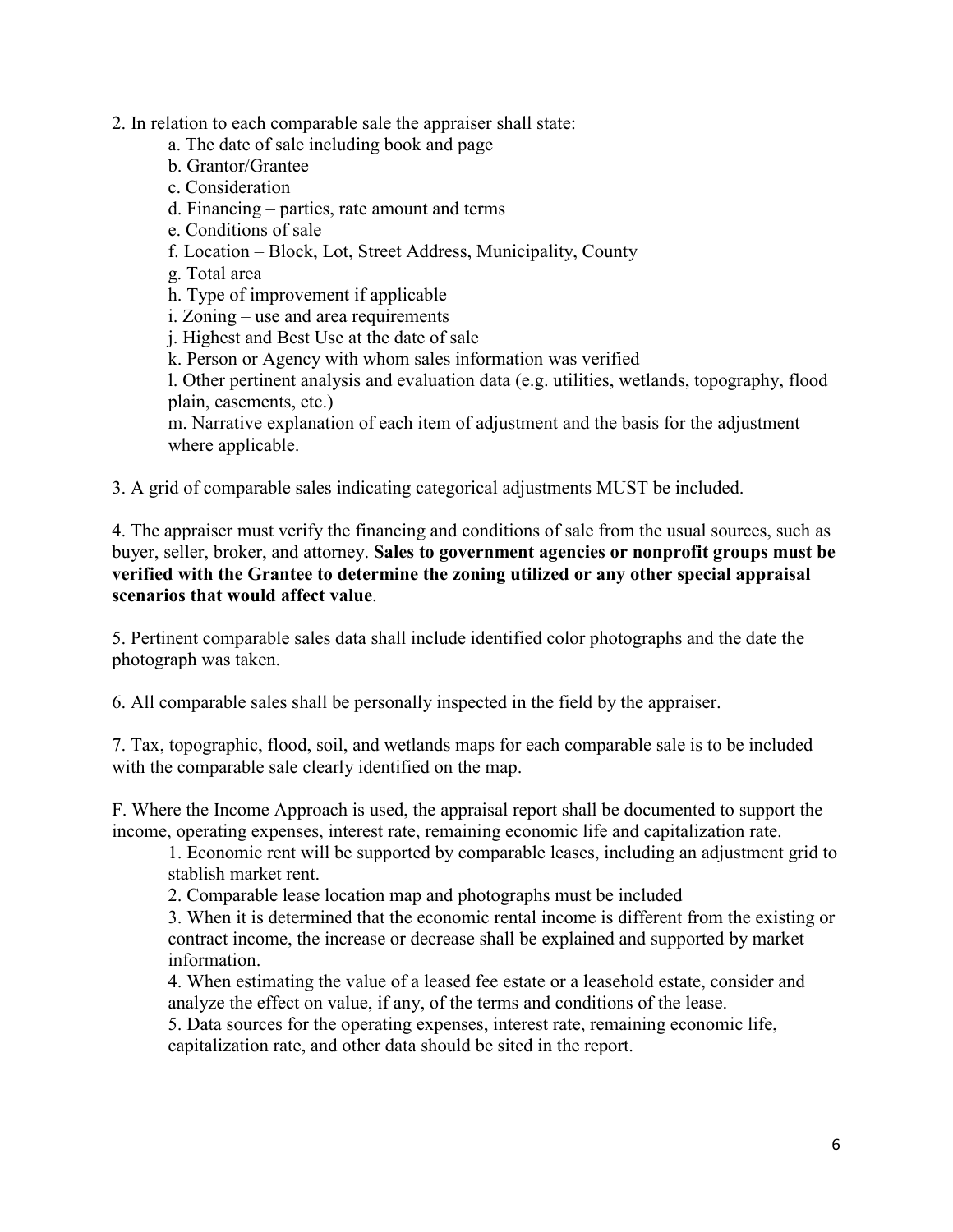### 2. In relation to each comparable sale the appraiser shall state:

- a. The date of sale including book and page
- b. Grantor/Grantee
- c. Consideration
- d. Financing parties, rate amount and terms
- e. Conditions of sale
- f. Location Block, Lot, Street Address, Municipality, County
- g. Total area
- h. Type of improvement if applicable
- i. Zoning use and area requirements
- j. Highest and Best Use at the date of sale
- k. Person or Agency with whom sales information was verified

l. Other pertinent analysis and evaluation data (e.g. utilities, wetlands, topography, flood plain, easements, etc.)

m. Narrative explanation of each item of adjustment and the basis for the adjustment where applicable.

3. A grid of comparable sales indicating categorical adjustments MUST be included.

4. The appraiser must verify the financing and conditions of sale from the usual sources, such as buyer, seller, broker, and attorney. **Sales to government agencies or nonprofit groups must be verified with the Grantee to determine the zoning utilized or any other special appraisal scenarios that would affect value**.

5. Pertinent comparable sales data shall include identified color photographs and the date the photograph was taken.

6. All comparable sales shall be personally inspected in the field by the appraiser.

7. Tax, topographic, flood, soil, and wetlands maps for each comparable sale is to be included with the comparable sale clearly identified on the map.

F. Where the Income Approach is used, the appraisal report shall be documented to support the income, operating expenses, interest rate, remaining economic life and capitalization rate.

1. Economic rent will be supported by comparable leases, including an adjustment grid to stablish market rent.

2. Comparable lease location map and photographs must be included

3. When it is determined that the economic rental income is different from the existing or contract income, the increase or decrease shall be explained and supported by market information.

4. When estimating the value of a leased fee estate or a leasehold estate, consider and analyze the effect on value, if any, of the terms and conditions of the lease.

5. Data sources for the operating expenses, interest rate, remaining economic life, capitalization rate, and other data should be sited in the report.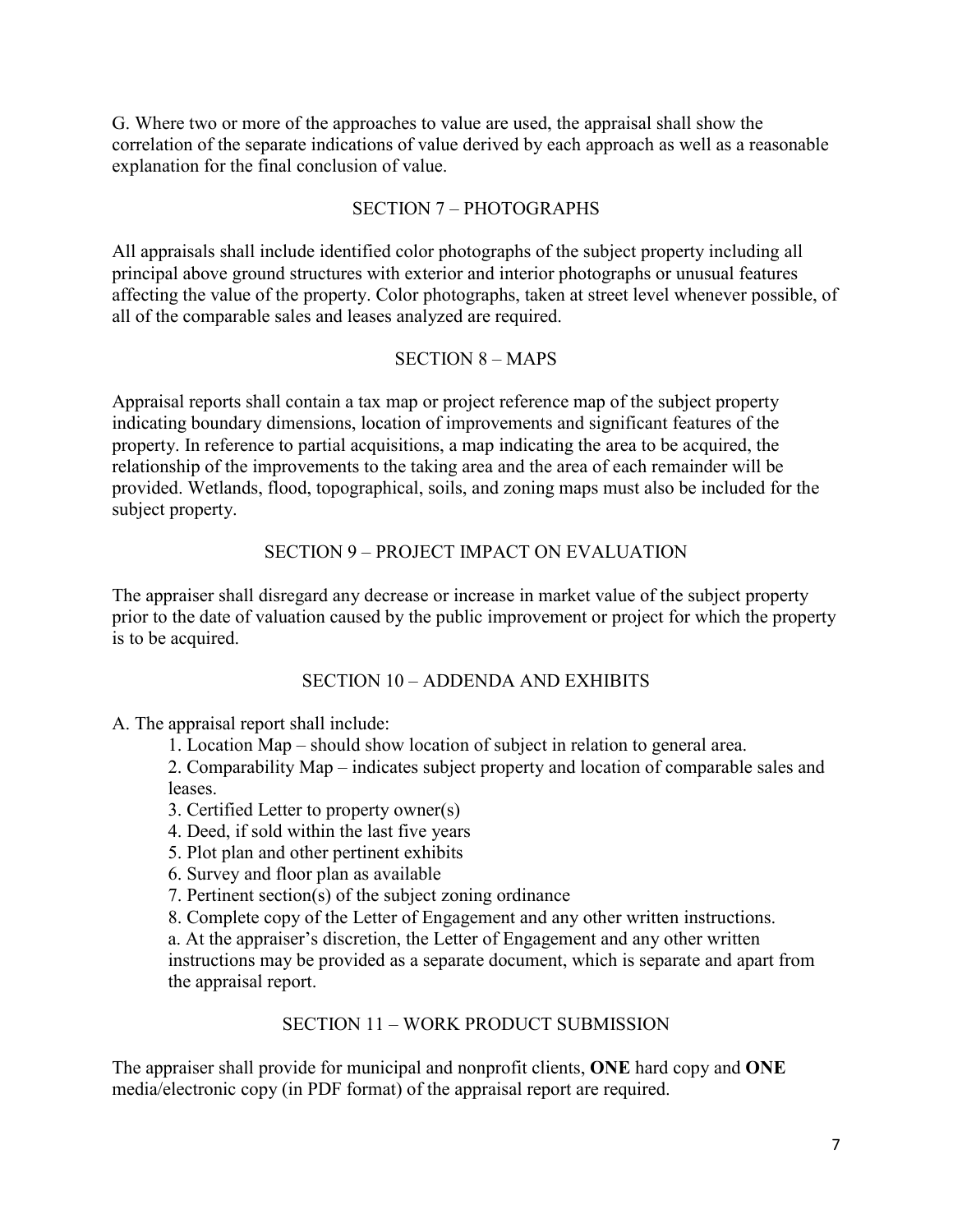G. Where two or more of the approaches to value are used, the appraisal shall show the correlation of the separate indications of value derived by each approach as well as a reasonable explanation for the final conclusion of value.

#### SECTION 7 – PHOTOGRAPHS

All appraisals shall include identified color photographs of the subject property including all principal above ground structures with exterior and interior photographs or unusual features affecting the value of the property. Color photographs, taken at street level whenever possible, of all of the comparable sales and leases analyzed are required.

## SECTION 8 – MAPS

Appraisal reports shall contain a tax map or project reference map of the subject property indicating boundary dimensions, location of improvements and significant features of the property. In reference to partial acquisitions, a map indicating the area to be acquired, the relationship of the improvements to the taking area and the area of each remainder will be provided. Wetlands, flood, topographical, soils, and zoning maps must also be included for the subject property.

#### SECTION 9 – PROJECT IMPACT ON EVALUATION

The appraiser shall disregard any decrease or increase in market value of the subject property prior to the date of valuation caused by the public improvement or project for which the property is to be acquired.

#### SECTION 10 – ADDENDA AND EXHIBITS

A. The appraisal report shall include:

1. Location Map – should show location of subject in relation to general area.

2. Comparability Map – indicates subject property and location of comparable sales and leases.

- 3. Certified Letter to property owner(s)
- 4. Deed, if sold within the last five years
- 5. Plot plan and other pertinent exhibits
- 6. Survey and floor plan as available
- 7. Pertinent section(s) of the subject zoning ordinance
- 8. Complete copy of the Letter of Engagement and any other written instructions.

a. At the appraiser's discretion, the Letter of Engagement and any other written instructions may be provided as a separate document, which is separate and apart from the appraisal report.

#### SECTION 11 – WORK PRODUCT SUBMISSION

The appraiser shall provide for municipal and nonprofit clients, **ONE** hard copy and **ONE**  media/electronic copy (in PDF format) of the appraisal report are required.